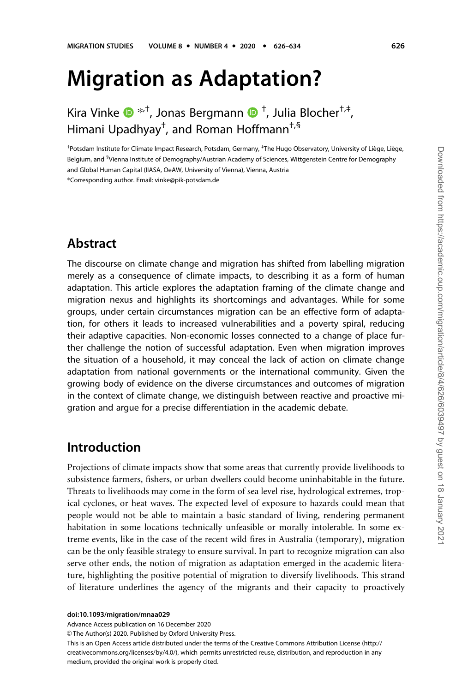# Migration as Adaptation?

Kira Vinke  $\mathbf{D}^{*,+}$ , Jonas Bergmann  $\mathbf{D}^{+}$ , Julia Blocher $^{\dagger,\dagger},$ Himani Upadhyay† , and Roman Hoffmann†,§

<sup>†</sup>Potsdam Institute for Climate Impact Research, Potsdam, Germany, <sup>‡</sup>The Hugo Observatory, University of Liège, Liège, Belgium, and <sup>s</sup>Vienna Institute of Demography/Austrian Academy of Sciences, Wittgenstein Centre for Demography and Global Human Capital (IIASA, OeAW, University of Vienna), Vienna, Austria

\*Corresponding author. Email: vinke@pik-potsdam.de

# Abstract

The discourse on climate change and migration has shifted from labelling migration merely as a consequence of climate impacts, to describing it as a form of human adaptation. This article explores the adaptation framing of the climate change and migration nexus and highlights its shortcomings and advantages. While for some groups, under certain circumstances migration can be an effective form of adaptation, for others it leads to increased vulnerabilities and a poverty spiral, reducing their adaptive capacities. Non-economic losses connected to a change of place further challenge the notion of successful adaptation. Even when migration improves the situation of a household, it may conceal the lack of action on climate change adaptation from national governments or the international community. Given the growing body of evidence on the diverse circumstances and outcomes of migration in the context of climate change, we distinguish between reactive and proactive migration and argue for a precise differentiation in the academic debate.

### Introduction

Projections of climate impacts show that some areas that currently provide livelihoods to subsistence farmers, fishers, or urban dwellers could become uninhabitable in the future. Threats to livelihoods may come in the form of sea level rise, hydrological extremes, tropical cyclones, or heat waves. The expected level of exposure to hazards could mean that people would not be able to maintain a basic standard of living, rendering permanent habitation in some locations technically unfeasible or morally intolerable. In some extreme events, like in the case of the recent wild fires in Australia (temporary), migration can be the only feasible strategy to ensure survival. In part to recognize migration can also serve other ends, the notion of migration as adaptation emerged in the academic literature, highlighting the positive potential of migration to diversify livelihoods. This strand of literature underlines the agency of the migrants and their capacity to proactively

doi:10.1093/migration/mnaa029

Advance Access publication on 16 December 2020

© The Author(s) 2020. Published by Oxford University Press.

This is an Open Access article distributed under the terms of the Creative Commons Attribution License (http:// creativecommons.org/licenses/by/4.0/), which permits unrestricted reuse, distribution, and reproduction in any medium, provided the original work is properly cited.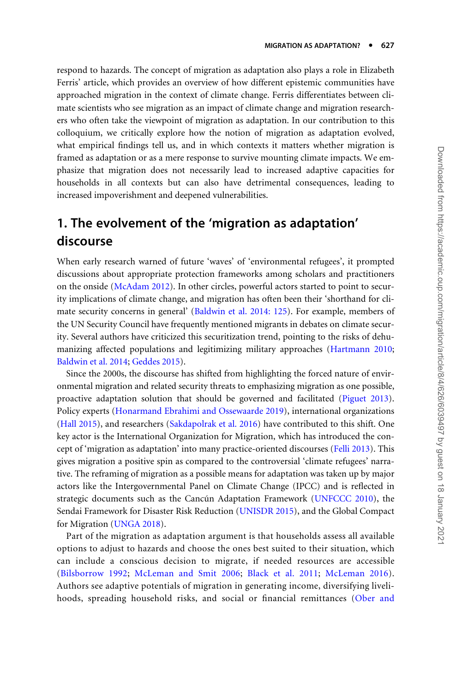respond to hazards. The concept of migration as adaptation also plays a role in Elizabeth Ferris' article, which provides an overview of how different epistemic communities have approached migration in the context of climate change. Ferris differentiates between climate scientists who see migration as an impact of climate change and migration researchers who often take the viewpoint of migration as adaptation. In our contribution to this colloquium, we critically explore how the notion of migration as adaptation evolved, what empirical findings tell us, and in which contexts it matters whether migration is framed as adaptation or as a mere response to survive mounting climate impacts. We emphasize that migration does not necessarily lead to increased adaptive capacities for households in all contexts but can also have detrimental consequences, leading to increased impoverishment and deepened vulnerabilities.

# 1. The evolvement of the 'migration as adaptation' discourse

When early research warned of future 'waves' of 'environmental refugees', it prompted discussions about appropriate protection frameworks among scholars and practitioners on the onside [\(McAdam 2012\)](#page-7-0). In other circles, powerful actors started to point to security implications of climate change, and migration has often been their 'shorthand for climate security concerns in general' [\(Baldwin et al. 2014: 125](#page-5-0)). For example, members of the UN Security Council have frequently mentioned migrants in debates on climate security. Several authors have criticized this securitization trend, pointing to the risks of dehumanizing affected populations and legitimizing military approaches [\(Hartmann 2010;](#page-7-0) [Baldwin et al. 2014](#page-5-0); [Geddes 2015](#page-6-0)).

Since the 2000s, the discourse has shifted from highlighting the forced nature of environmental migration and related security threats to emphasizing migration as one possible, proactive adaptation solution that should be governed and facilitated ([Piguet 2013](#page-7-0)). Policy experts [\(Honarmand Ebrahimi and Ossewaarde 2019\)](#page-7-0), international organizations ([Hall 2015\)](#page-6-0), and researchers ([Sakdapolrak et al. 2016\)](#page-7-0) have contributed to this shift. One key actor is the International Organization for Migration, which has introduced the concept of 'migration as adaptation' into many practice-oriented discourses ([Felli 2013](#page-6-0)). This gives migration a positive spin as compared to the controversial 'climate refugees' narrative. The reframing of migration as a possible means for adaptation was taken up by major actors like the Intergovernmental Panel on Climate Change (IPCC) and is reflected in strategic documents such as the Cancún Adaptation Framework [\(UNFCCC 2010\)](#page-7-0), the Sendai Framework for Disaster Risk Reduction [\(UNISDR 2015](#page-7-0)), and the Global Compact for Migration [\(UNGA 2018\)](#page-7-0).

Part of the migration as adaptation argument is that households assess all available options to adjust to hazards and choose the ones best suited to their situation, which can include a conscious decision to migrate, if needed resources are accessible ([Bilsborrow 1992](#page-6-0); [McLeman and Smit 2006](#page-7-0); [Black et al. 2011;](#page-6-0) [McLeman 2016](#page-7-0)). Authors see adaptive potentials of migration in generating income, diversifying livelihoods, spreading household risks, and social or financial remittances [\(Ober and](#page-7-0)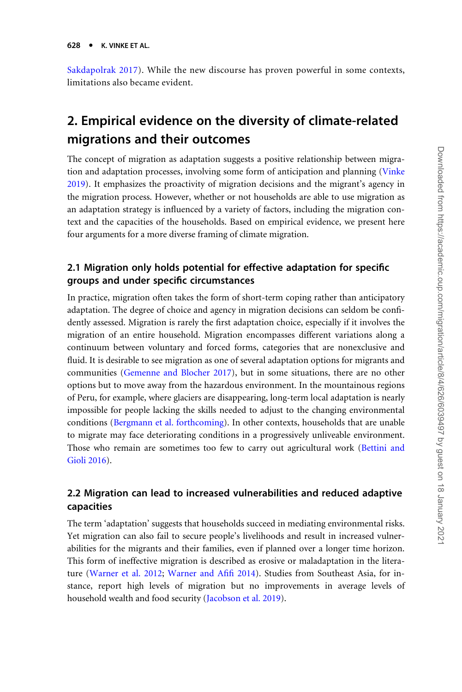[Sakdapolrak 2017](#page-7-0)). While the new discourse has proven powerful in some contexts, limitations also became evident.

# 2. Empirical evidence on the diversity of climate-related migrations and their outcomes

The concept of migration as adaptation suggests a positive relationship between migration and adaptation processes, involving some form of anticipation and planning [\(Vinke](#page-8-0) [2019\)](#page-8-0). It emphasizes the proactivity of migration decisions and the migrant's agency in the migration process. However, whether or not households are able to use migration as an adaptation strategy is influenced by a variety of factors, including the migration context and the capacities of the households. Based on empirical evidence, we present here four arguments for a more diverse framing of climate migration.

#### 2.1 Migration only holds potential for effective adaptation for specific groups and under specific circumstances

In practice, migration often takes the form of short-term coping rather than anticipatory adaptation. The degree of choice and agency in migration decisions can seldom be confidently assessed. Migration is rarely the first adaptation choice, especially if it involves the migration of an entire household. Migration encompasses different variations along a continuum between voluntary and forced forms, categories that are nonexclusive and fluid. It is desirable to see migration as one of several adaptation options for migrants and communities ([Gemenne and Blocher 2017\)](#page-6-0), but in some situations, there are no other options but to move away from the hazardous environment. In the mountainous regions of Peru, for example, where glaciers are disappearing, long-term local adaptation is nearly impossible for people lacking the skills needed to adjust to the changing environmental conditions ([Bergmann et al. forthcoming](#page-5-0)). In other contexts, households that are unable to migrate may face deteriorating conditions in a progressively unliveable environment. Those who remain are sometimes too few to carry out agricultural work [\(Bettini and](#page-6-0) [Gioli 2016\)](#page-6-0).

#### 2.2 Migration can lead to increased vulnerabilities and reduced adaptive capacities

The term 'adaptation' suggests that households succeed in mediating environmental risks. Yet migration can also fail to secure people's livelihoods and result in increased vulnerabilities for the migrants and their families, even if planned over a longer time horizon. This form of ineffective migration is described as erosive or maladaptation in the literature ([Warner et al. 2012](#page-8-0); [Warner and Afifi 2014\)](#page-8-0). Studies from Southeast Asia, for instance, report high levels of migration but no improvements in average levels of household wealth and food security ([Jacobson et al. 2019\)](#page-7-0).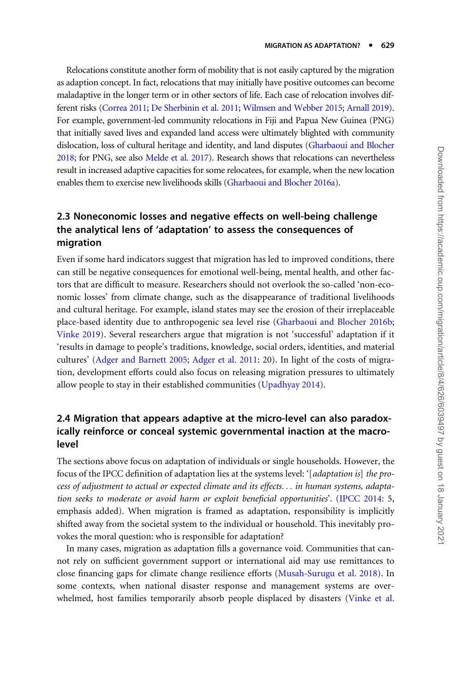Relocations constitute another form of mobility that is not easily captured by the migration as adaption concept. In fact, relocations that may initially have positive outcomes can become maladaptive in the longer term or in other sectors of life. Each case of relocation involves different risks [\(Correa 2011;](#page-6-0) [De Sherbinin et al. 2011](#page-6-0); [Wilmsen and Webber 2015;](#page-8-0) [Arnall 2019](#page-5-0)). For example, government-led community relocations in Fiji and Papua New Guinea (PNG) that initially saved lives and expanded land access were ultimately blighted with community dislocation, loss of cultural heritage and identity, and land disputes ([Gharbaoui and Blocher](#page-6-0) [2018;](#page-6-0) for PNG, see also [Melde et al. 2017\)](#page-7-0). Research shows that relocations can nevertheless result in increased adaptive capacities for some relocatees, for example, when the new location enables them to exercise new livelihoods skills ([Gharbaoui and Blocher 2016a\)](#page-6-0).

#### 2.3 Noneconomic losses and negative effects on well-being challenge the analytical lens of 'adaptation' to assess the consequences of migration

Even if some hard indicators suggest that migration has led to improved conditions, there can still be negative consequences for emotional well-being, mental health, and other factors that are difficult to measure. Researchers should not overlook the so-called 'non-economic losses' from climate change, such as the disappearance of traditional livelihoods and cultural heritage. For example, island states may see the erosion of their irreplaceable place-based identity due to anthropogenic sea level rise ([Gharbaoui and Blocher 2016b;](#page-6-0) [Vinke 2019](#page-8-0)). Several researchers argue that migration is not 'successful' adaptation if it 'results in damage to people's traditions, knowledge, social orders, identities, and material cultures' ([Adger and Barnett 2005](#page-5-0); [Adger et al. 2011:](#page-5-0) 20). In light of the costs of migration, development efforts could also focus on releasing migration pressures to ultimately allow people to stay in their established communities [\(Upadhyay 2014](#page-7-0)).

#### 2.4 Migration that appears adaptive at the micro-level can also paradoxically reinforce or conceal systemic governmental inaction at the macrolevel

The sections above focus on adaptation of individuals or single households. However, the focus of the IPCC definition of adaptation lies at the systems level: '[adaptation is] the process of adjustment to actual or expected climate and its effects... in human systems, adaptation seeks to moderate or avoid harm or exploit beneficial opportunities'. [\(IPCC 2014:](#page-7-0) 5, emphasis added). When migration is framed as adaptation, responsibility is implicitly shifted away from the societal system to the individual or household. This inevitably provokes the moral question: who is responsible for adaptation?

In many cases, migration as adaptation fills a governance void. Communities that cannot rely on sufficient government support or international aid may use remittances to close financing gaps for climate change resilience efforts ([Musah-Surugu et al. 2018\)](#page-7-0). In some contexts, when national disaster response and management systems are overwhelmed, host families temporarily absorb people displaced by disasters ([Vinke et al.](#page-8-0)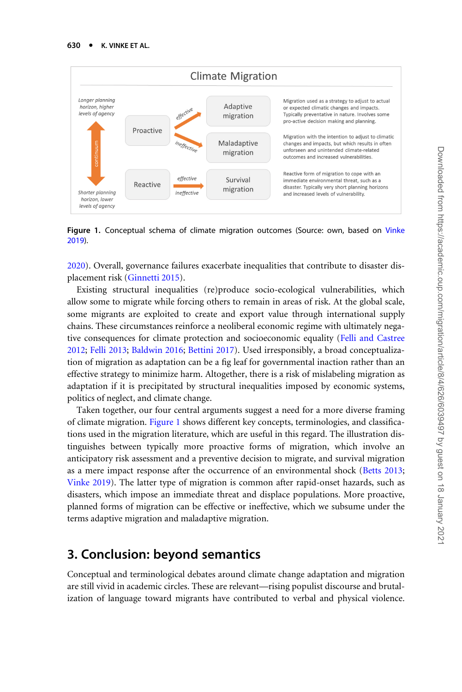

Figure 1. Conceptual schema of climate migration outcomes (Source: own, based on [Vinke](#page-8-0) [2019\)](#page-8-0).

[2020\)](#page-8-0). Overall, governance failures exacerbate inequalities that contribute to disaster displacement risk [\(Ginnetti 2015](#page-6-0)).

Existing structural inequalities (re)produce socio-ecological vulnerabilities, which allow some to migrate while forcing others to remain in areas of risk. At the global scale, some migrants are exploited to create and export value through international supply chains. These circumstances reinforce a neoliberal economic regime with ultimately negative consequences for climate protection and socioeconomic equality [\(Felli and Castree](#page-6-0) [2012;](#page-6-0) [Felli 2013](#page-6-0); [Baldwin 2016](#page-5-0); [Bettini 2017](#page-6-0)). Used irresponsibly, a broad conceptualization of migration as adaptation can be a fig leaf for governmental inaction rather than an effective strategy to minimize harm. Altogether, there is a risk of mislabeling migration as adaptation if it is precipitated by structural inequalities imposed by economic systems, politics of neglect, and climate change.

Taken together, our four central arguments suggest a need for a more diverse framing of climate migration. Figure 1 shows different key concepts, terminologies, and classifications used in the migration literature, which are useful in this regard. The illustration distinguishes between typically more proactive forms of migration, which involve an anticipatory risk assessment and a preventive decision to migrate, and survival migration as a mere impact response after the occurrence of an environmental shock ([Betts 2013;](#page-6-0) [Vinke 2019\)](#page-8-0). The latter type of migration is common after rapid-onset hazards, such as disasters, which impose an immediate threat and displace populations. More proactive, planned forms of migration can be effective or ineffective, which we subsume under the terms adaptive migration and maladaptive migration.

### 3. Conclusion: beyond semantics

Conceptual and terminological debates around climate change adaptation and migration are still vivid in academic circles. These are relevant—rising populist discourse and brutalization of language toward migrants have contributed to verbal and physical violence.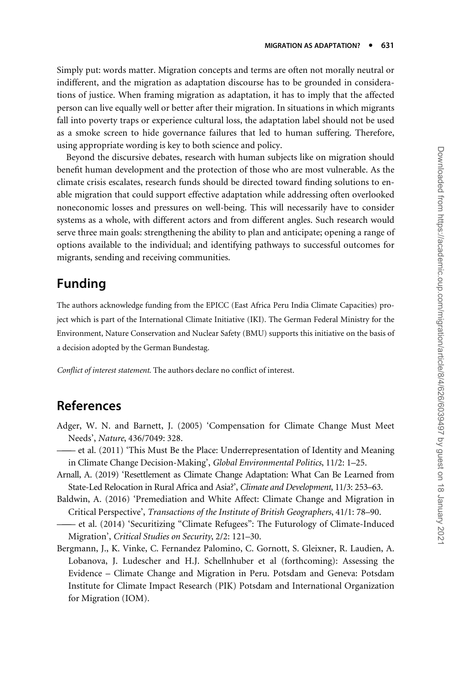<span id="page-5-0"></span>Simply put: words matter. Migration concepts and terms are often not morally neutral or indifferent, and the migration as adaptation discourse has to be grounded in considerations of justice. When framing migration as adaptation, it has to imply that the affected person can live equally well or better after their migration. In situations in which migrants fall into poverty traps or experience cultural loss, the adaptation label should not be used as a smoke screen to hide governance failures that led to human suffering. Therefore, using appropriate wording is key to both science and policy.

Beyond the discursive debates, research with human subjects like on migration should benefit human development and the protection of those who are most vulnerable. As the climate crisis escalates, research funds should be directed toward finding solutions to enable migration that could support effective adaptation while addressing often overlooked noneconomic losses and pressures on well-being. This will necessarily have to consider systems as a whole, with different actors and from different angles. Such research would serve three main goals: strengthening the ability to plan and anticipate; opening a range of options available to the individual; and identifying pathways to successful outcomes for migrants, sending and receiving communities.

## Funding

The authors acknowledge funding from the EPICC (East Africa Peru India Climate Capacities) project which is part of the International Climate Initiative (IKI). The German Federal Ministry for the Environment, Nature Conservation and Nuclear Safety (BMU) supports this initiative on the basis of a decision adopted by the German Bundestag.

Conflict of interest statement. The authors declare no conflict of interest.

### References

- Adger, W. N. and Barnett, J. (2005) 'Compensation for Climate Change Must Meet Needs', Nature, 436/7049: 328.
- ——— et al. (2011) 'This Must Be the Place: Underrepresentation of Identity and Meaning in Climate Change Decision-Making', Global Environmental Politics, 11/2: 1–25.
- Arnall, A. (2019) 'Resettlement as Climate Change Adaptation: What Can Be Learned from State-Led Relocation in Rural Africa and Asia?', Climate and Development, 11/3: 253–63.
- Baldwin, A. (2016) 'Premediation and White Affect: Climate Change and Migration in Critical Perspective', Transactions of the Institute of British Geographers, 41/1: 78–90.
- et al. (2014) 'Securitizing "Climate Refugees": The Futurology of Climate-Induced Migration', Critical Studies on Security, 2/2: 121–30.
- Bergmann, J., K. Vinke, C. Fernandez Palomino, C. Gornott, S. Gleixner, R. Laudien, A. Lobanova, J. Ludescher and H.J. Schellnhuber et al (forthcoming): Assessing the Evidence – Climate Change and Migration in Peru. Potsdam and Geneva: Potsdam Institute for Climate Impact Research (PIK) Potsdam and International Organization for Migration (IOM).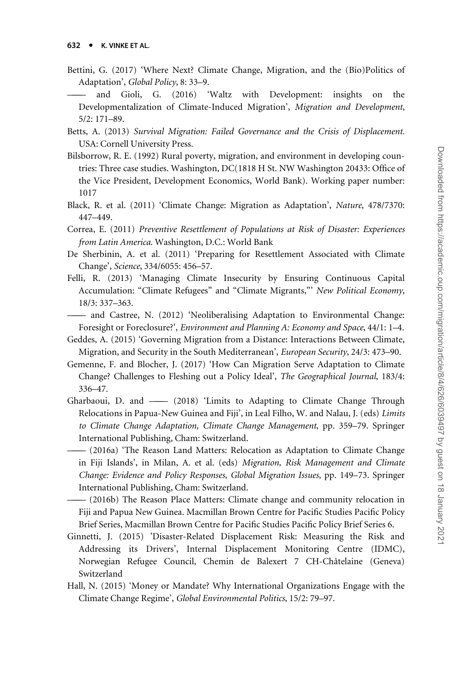- <span id="page-6-0"></span>Bettini, G. (2017) 'Where Next? Climate Change, Migration, and the (Bio)Politics of Adaptation', Global Policy, 8: 33–9.
- ——— and Gioli, G. (2016) 'Waltz with Development: insights on the Developmentalization of Climate-Induced Migration', Migration and Development, 5/2: 171–89.
- Betts, A. (2013) Survival Migration: Failed Governance and the Crisis of Displacement. USA: Cornell University Press.
- Bilsborrow, R. E. (1992) Rural poverty, migration, and environment in developing countries: Three case studies. Washington, DC(1818 H St. NW Washington 20433: Office of the Vice President, Development Economics, World Bank). Working paper number: 1017
- Black, R. et al. (2011) 'Climate Change: Migration as Adaptation', Nature, 478/7370: 447–449.
- Correa, E. (2011) Preventive Resettlement of Populations at Risk of Disaster: Experiences from Latin America. Washington, D.C.: World Bank
- De Sherbinin, A. et al. (2011) 'Preparing for Resettlement Associated with Climate Change', Science, 334/6055: 456–57.
- Felli, R. (2013) 'Managing Climate Insecurity by Ensuring Continuous Capital Accumulation: "Climate Refugees" and "Climate Migrants,"' New Political Economy, 18/3: 337–363.
- ——— and Castree, N. (2012) 'Neoliberalising Adaptation to Environmental Change: Foresight or Foreclosure?', Environment and Planning A: Economy and Space, 44/1: 1–4.
- Geddes, A. (2015) 'Governing Migration from a Distance: Interactions Between Climate, Migration, and Security in the South Mediterranean', European Security, 24/3: 473–90.
- Gemenne, F. and Blocher, J. (2017) 'How Can Migration Serve Adaptation to Climate Change? Challenges to Fleshing out a Policy Ideal', The Geographical Journal, 183/4: 336–47.
- Gharbaoui, D. and —— (2018) 'Limits to Adapting to Climate Change Through Relocations in Papua-New Guinea and Fiji', in Leal Filho, W. and Nalau, J. (eds) Limits to Climate Change Adaptation, Climate Change Management, pp. 359–79. Springer International Publishing, Cham: Switzerland.
- ——— (2016a) 'The Reason Land Matters: Relocation as Adaptation to Climate Change in Fiji Islands', in Milan, A. et al. (eds) Migration, Risk Management and Climate Change: Evidence and Policy Responses, Global Migration Issues, pp. 149–73. Springer International Publishing, Cham: Switzerland.
- ——— (2016b) The Reason Place Matters: Climate change and community relocation in Fiji and Papua New Guinea. Macmillan Brown Centre for Pacific Studies Pacific Policy Brief Series, Macmillan Brown Centre for Pacific Studies Pacific Policy Brief Series 6.
- Ginnetti, J. (2015) 'Disaster-Related Displacement Risk: Measuring the Risk and Addressing its Drivers', Internal Displacement Monitoring Centre (IDMC), Norwegian Refugee Council, Chemin de Balexert 7 CH-Châtelaine (Geneva) Switzerland
- Hall, N. (2015) 'Money or Mandate? Why International Organizations Engage with the Climate Change Regime', Global Environmental Politics, 15/2: 79–97.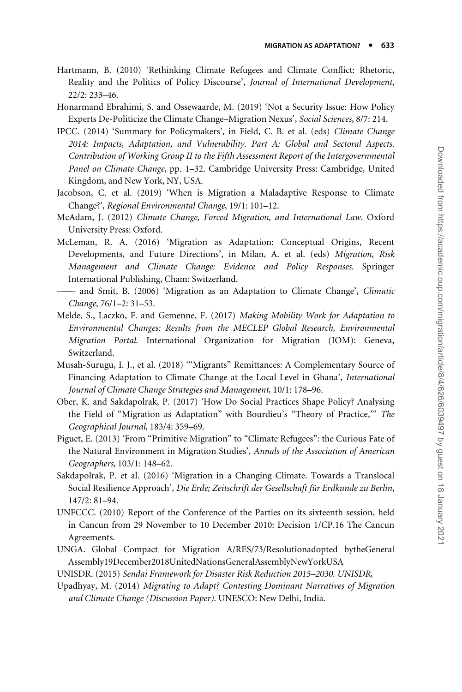- <span id="page-7-0"></span>Hartmann, B. (2010) 'Rethinking Climate Refugees and Climate Conflict: Rhetoric, Reality and the Politics of Policy Discourse', Journal of International Development, 22/2: 233–46.
- Honarmand Ebrahimi, S. and Ossewaarde, M. (2019) 'Not a Security Issue: How Policy Experts De-Politicize the Climate Change–Migration Nexus', Social Sciences, 8/7: 214.
- IPCC. (2014) 'Summary for Policymakers', in Field, C. B. et al. (eds) Climate Change 2014: Impacts, Adaptation, and Vulnerability. Part A: Global and Sectoral Aspects. Contribution of Working Group II to the Fifth Assessment Report of the Intergovernmental Panel on Climate Change, pp. 1–32. Cambridge University Press: Cambridge, United Kingdom, and New York, NY, USA.
- Jacobson, C. et al. (2019) 'When is Migration a Maladaptive Response to Climate Change?', Regional Environmental Change, 19/1: 101–12.
- McAdam, J. (2012) Climate Change, Forced Migration, and International Law. Oxford University Press: Oxford.
- McLeman, R. A. (2016) 'Migration as Adaptation: Conceptual Origins, Recent Developments, and Future Directions', in Milan, A. et al. (eds) Migration, Risk Management and Climate Change: Evidence and Policy Responses. Springer International Publishing, Cham: Switzerland.
- ——— and Smit, B. (2006) 'Migration as an Adaptation to Climate Change', Climatic Change, 76/1–2: 31–53.
- Melde, S., Laczko, F. and Gemenne, F. (2017) Making Mobility Work for Adaptation to Environmental Changes: Results from the MECLEP Global Research, Environmental Migration Portal. International Organization for Migration (IOM): Geneva, Switzerland.
- Musah-Surugu, I. J., et al. (2018) '"Migrants" Remittances: A Complementary Source of Financing Adaptation to Climate Change at the Local Level in Ghana', International Journal of Climate Change Strategies and Management, 10/1: 178–96.
- Ober, K. and Sakdapolrak, P. (2017) 'How Do Social Practices Shape Policy? Analysing the Field of "Migration as Adaptation" with Bourdieu's "Theory of Practice,"' The Geographical Journal, 183/4: 359–69.
- Piguet, E. (2013) 'From "Primitive Migration" to "Climate Refugees": the Curious Fate of the Natural Environment in Migration Studies', Annals of the Association of American Geographers, 103/1: 148–62.
- Sakdapolrak, P. et al. (2016) 'Migration in a Changing Climate. Towards a Translocal Social Resilience Approach', Die Erde; Zeitschrift der Gesellschaft für Erdkunde zu Berlin, 147/2: 81–94.
- UNFCCC. (2010) Report of the Conference of the Parties on its sixteenth session, held in Cancun from 29 November to 10 December 2010: Decision 1/CP.16 The Cancun Agreements.
- UNGA. Global Compact for Migration A/RES/73/Resolutionadopted bytheGeneral Assembly19December2018UnitedNationsGeneralAssemblyNewYorkUSA
- UNISDR. (2015) Sendai Framework for Disaster Risk Reduction 2015–2030. UNISDR,
- Upadhyay, M. (2014) Migrating to Adapt? Contesting Dominant Narratives of Migration and Climate Change (Discussion Paper). UNESCO: New Delhi, India.